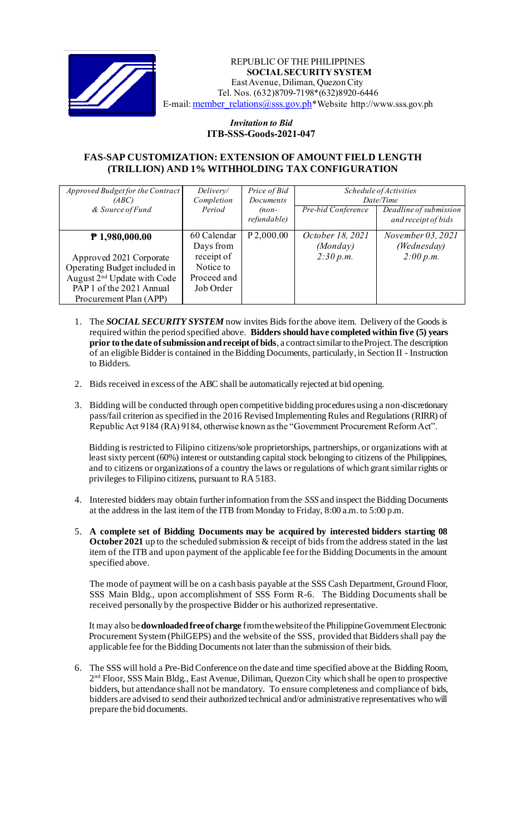

 *Invitation to Bid* REPUBLIC OF THE PHILIPPINES **SOCIAL SECURITY SYSTEM** East Avenue, Diliman, Quezon City Tel. Nos. (632)8709-7198\*(632)8920-6446 E-mail: member\_relations@sss.gov.ph\*Website http://www.sss.gov.ph

## *Invitation to Bid*  **ITB-SSS-Goods-2021-047**

## **FAS-SAP CUSTOMIZATION: EXTENSION OF AMOUNT FIELD LENGTH (TRILLION) AND 1% WITHHOLDING TAX CONFIGURATION**

| Approved Budget for the Contract | Delivery/   | Price of Bid | Schedule of Activities |                        |
|----------------------------------|-------------|--------------|------------------------|------------------------|
| (ABC)                            | Completion  | Documents    | Date/Time              |                        |
| & Source of Fund                 | Period      | $(non-$      | Pre-bid Conference     | Deadline of submission |
|                                  |             | refundable)  |                        | and receipt of bids    |
| $P$ 1,980,000.00                 | 60 Calendar | P 2,000.00   | October 18, 2021       | November 03, 2021      |
|                                  | Days from   |              | (Monday)               | (Wednesday)            |
| Approved 2021 Corporate          | receipt of  |              | 2:30 p.m.              | 2:00 p.m.              |
| Operating Budget included in     | Notice to   |              |                        |                        |
| August $2nd$ Update with Code    | Proceed and |              |                        |                        |
| PAP 1 of the 2021 Annual         | Job Order   |              |                        |                        |
| Procurement Plan (APP)           |             |              |                        |                        |

- 1. The *SOCIAL SECURITY SYSTEM* now invites Bids for the above item. Delivery of the Goods is required within the period specified above. **Bidders should have completed within five (5) years prior to the date of submission and receipt of bids**, a contract similar to the Project. The description of an eligible Bidder is contained in the Bidding Documents, particularly, in Section II - Instruction to Bidders.
- 2. Bids received in excess of the ABC shall be automatically rejected at bid opening.
- 3. Bidding will be conducted through open competitive bidding procedures using a non-discretionary pass/fail criterion as specified in the 2016 Revised Implementing Rules and Regulations (RIRR) of Republic Act 9184 (RA) 9184, otherwise known as the "Government Procurement Reform Act".

Bidding is restricted to Filipino citizens/sole proprietorships, partnerships, or organizations with at least sixty percent (60%) interest or outstanding capital stock belonging to citizens of the Philippines, and to citizens or organizations of a country the laws or regulations of which grant similar rights or privileges to Filipino citizens, pursuant to RA 5183.

- 4. Interested bidders may obtain further information from the *SSS* and inspect the Bidding Documents at the address in the last item of the ITB from Monday to Friday, 8:00 a.m. to 5:00 p.m.
- 5. **A complete set of Bidding Documents may be acquired by interested bidders starting 08 October 2021** up to the scheduled submission & receipt of bids from the address stated in the last item of the ITB and upon payment of the applicable fee for the Bidding Documents in the amount specified above.

The mode of payment will be on a cash basis payable at the SSS Cash Department, Ground Floor, SSS Main Bldg., upon accomplishment of SSS Form R-6. The Bidding Documents shall be received personally by the prospective Bidder or his authorized representative.

It may also be **downloaded free of charge** from the website of the Philippine Government Electronic Procurement System (PhilGEPS) and the website of the SSS*,* provided that Bidders shall pay the applicable fee for the Bidding Documents not later than the submission of their bids.

6. The SSS will hold a Pre-Bid Conference on the date and time specified above at the Bidding Room, 2<sup>nd</sup> Floor, SSS Main Bldg., East Avenue, Diliman, Quezon City which shall be open to prospective bidders, but attendance shall not be mandatory. To ensure completeness and compliance of bids, bidders are advised to send their authorized technical and/or administrative representatives who will prepare the bid documents.